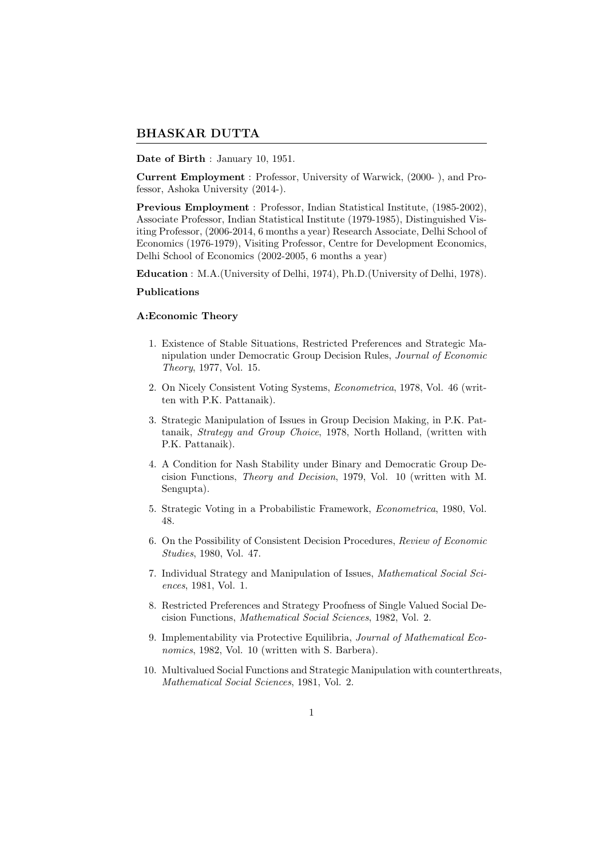# BHASKAR DUTTA

## Date of Birth : January 10, 1951.

Current Employment : Professor, University of Warwick, (2000- ), and Professor, Ashoka University (2014-).

Previous Employment : Professor, Indian Statistical Institute, (1985-2002), Associate Professor, Indian Statistical Institute (1979-1985), Distinguished Visiting Professor, (2006-2014, 6 months a year) Research Associate, Delhi School of Economics (1976-1979), Visiting Professor, Centre for Development Economics, Delhi School of Economics (2002-2005, 6 months a year)

Education : M.A.(University of Delhi, 1974), Ph.D.(University of Delhi, 1978).

#### Publications

## A:Economic Theory

- 1. Existence of Stable Situations, Restricted Preferences and Strategic Manipulation under Democratic Group Decision Rules, Journal of Economic Theory, 1977, Vol. 15.
- 2. On Nicely Consistent Voting Systems, Econometrica, 1978, Vol. 46 (written with P.K. Pattanaik).
- 3. Strategic Manipulation of Issues in Group Decision Making, in P.K. Pattanaik, Strategy and Group Choice, 1978, North Holland, (written with P.K. Pattanaik).
- 4. A Condition for Nash Stability under Binary and Democratic Group Decision Functions, Theory and Decision, 1979, Vol. 10 (written with M. Sengupta).
- 5. Strategic Voting in a Probabilistic Framework, Econometrica, 1980, Vol. 48.
- 6. On the Possibility of Consistent Decision Procedures, Review of Economic Studies, 1980, Vol. 47.
- 7. Individual Strategy and Manipulation of Issues, Mathematical Social Sciences, 1981, Vol. 1.
- 8. Restricted Preferences and Strategy Proofness of Single Valued Social Decision Functions, Mathematical Social Sciences, 1982, Vol. 2.
- 9. Implementability via Protective Equilibria, Journal of Mathematical Economics, 1982, Vol. 10 (written with S. Barbera).
- 10. Multivalued Social Functions and Strategic Manipulation with counterthreats, Mathematical Social Sciences, 1981, Vol. 2.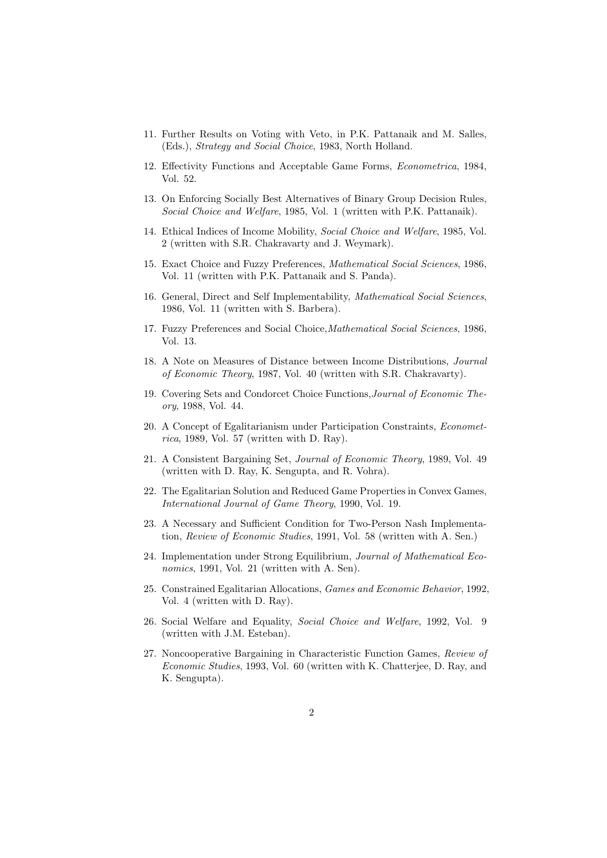- 11. Further Results on Voting with Veto, in P.K. Pattanaik and M. Salles, (Eds.), Strategy and Social Choice, 1983, North Holland.
- 12. Effectivity Functions and Acceptable Game Forms, Econometrica, 1984, Vol. 52.
- 13. On Enforcing Socially Best Alternatives of Binary Group Decision Rules, Social Choice and Welfare, 1985, Vol. 1 (written with P.K. Pattanaik).
- 14. Ethical Indices of Income Mobility, Social Choice and Welfare, 1985, Vol. 2 (written with S.R. Chakravarty and J. Weymark).
- 15. Exact Choice and Fuzzy Preferences, Mathematical Social Sciences, 1986, Vol. 11 (written with P.K. Pattanaik and S. Panda).
- 16. General, Direct and Self Implementability, Mathematical Social Sciences, 1986, Vol. 11 (written with S. Barbera).
- 17. Fuzzy Preferences and Social Choice,Mathematical Social Sciences, 1986, Vol. 13.
- 18. A Note on Measures of Distance between Income Distributions, Journal of Economic Theory, 1987, Vol. 40 (written with S.R. Chakravarty).
- 19. Covering Sets and Condorcet Choice Functions,Journal of Economic Theory, 1988, Vol. 44.
- 20. A Concept of Egalitarianism under Participation Constraints, Econometrica, 1989, Vol. 57 (written with D. Ray).
- 21. A Consistent Bargaining Set, Journal of Economic Theory, 1989, Vol. 49 (written with D. Ray, K. Sengupta, and R. Vohra).
- 22. The Egalitarian Solution and Reduced Game Properties in Convex Games, International Journal of Game Theory, 1990, Vol. 19.
- 23. A Necessary and Sufficient Condition for Two-Person Nash Implementation, Review of Economic Studies, 1991, Vol. 58 (written with A. Sen.)
- 24. Implementation under Strong Equilibrium, Journal of Mathematical Economics, 1991, Vol. 21 (written with A. Sen).
- 25. Constrained Egalitarian Allocations, Games and Economic Behavior, 1992, Vol. 4 (written with D. Ray).
- 26. Social Welfare and Equality, Social Choice and Welfare, 1992, Vol. 9 (written with J.M. Esteban).
- 27. Noncooperative Bargaining in Characteristic Function Games, Review of Economic Studies, 1993, Vol. 60 (written with K. Chatterjee, D. Ray, and K. Sengupta).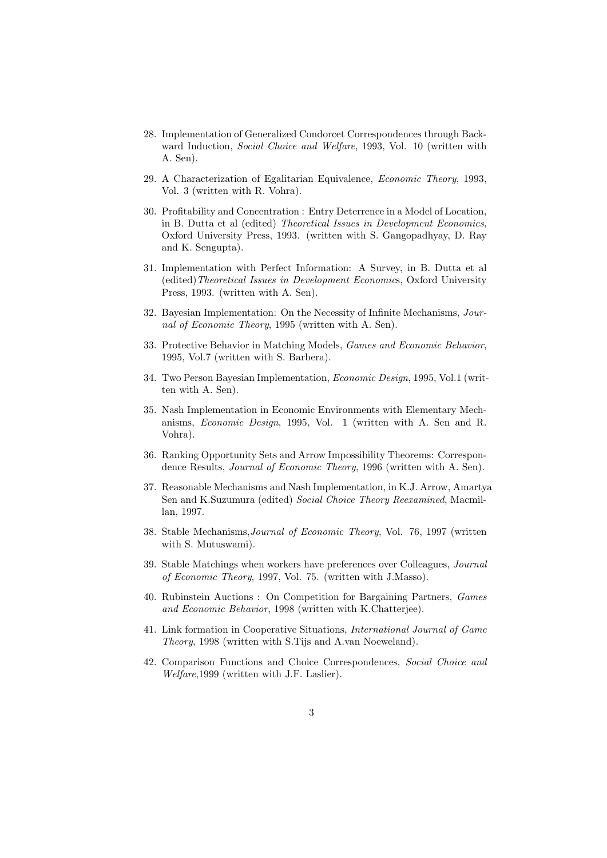- 28. Implementation of Generalized Condorcet Correspondences through Backward Induction, Social Choice and Welfare, 1993, Vol. 10 (written with A. Sen).
- 29. A Characterization of Egalitarian Equivalence, Economic Theory, 1993, Vol. 3 (written with R. Vohra).
- 30. Profitability and Concentration : Entry Deterrence in a Model of Location, in B. Dutta et al (edited) Theoretical Issues in Development Economics, Oxford University Press, 1993. (written with S. Gangopadhyay, D. Ray and K. Sengupta).
- 31. Implementation with Perfect Information: A Survey, in B. Dutta et al (edited)Theoretical Issues in Development Economics, Oxford University Press, 1993. (written with A. Sen).
- 32. Bayesian Implementation: On the Necessity of Infinite Mechanisms, Journal of Economic Theory, 1995 (written with A. Sen).
- 33. Protective Behavior in Matching Models, Games and Economic Behavior, 1995, Vol.7 (written with S. Barbera).
- 34. Two Person Bayesian Implementation, Economic Design, 1995, Vol.1 (written with A. Sen).
- 35. Nash Implementation in Economic Environments with Elementary Mechanisms, Economic Design, 1995, Vol. 1 (written with A. Sen and R. Vohra).
- 36. Ranking Opportunity Sets and Arrow Impossibility Theorems: Correspondence Results, *Journal of Economic Theory*, 1996 (written with A. Sen).
- 37. Reasonable Mechanisms and Nash Implementation, in K.J. Arrow, Amartya Sen and K.Suzumura (edited) Social Choice Theory Reexamined, Macmillan, 1997.
- 38. Stable Mechanisms,Journal of Economic Theory, Vol. 76, 1997 (written with S. Mutuswami).
- 39. Stable Matchings when workers have preferences over Colleagues, Journal of Economic Theory, 1997, Vol. 75. (written with J.Masso).
- 40. Rubinstein Auctions : On Competition for Bargaining Partners, Games and Economic Behavior, 1998 (written with K.Chatterjee).
- 41. Link formation in Cooperative Situations, International Journal of Game Theory, 1998 (written with S.Tijs and A.van Noeweland).
- 42. Comparison Functions and Choice Correspondences, Social Choice and Welfare,1999 (written with J.F. Laslier).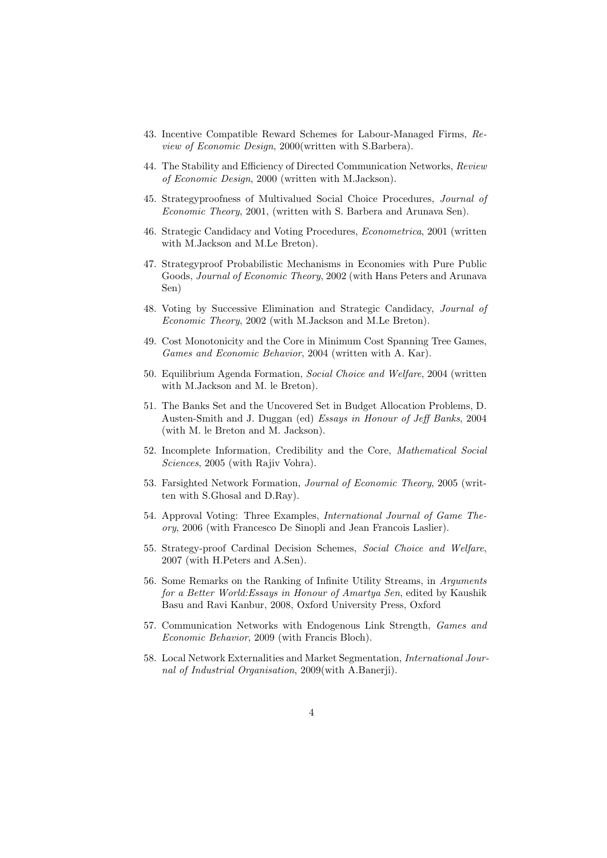- 43. Incentive Compatible Reward Schemes for Labour-Managed Firms, Review of Economic Design, 2000(written with S.Barbera).
- 44. The Stability and Efficiency of Directed Communication Networks, Review of Economic Design, 2000 (written with M.Jackson).
- 45. Strategyproofness of Multivalued Social Choice Procedures, Journal of Economic Theory, 2001, (written with S. Barbera and Arunava Sen).
- 46. Strategic Candidacy and Voting Procedures, Econometrica, 2001 (written with M.Jackson and M.Le Breton).
- 47. Strategyproof Probabilistic Mechanisms in Economies with Pure Public Goods, Journal of Economic Theory, 2002 (with Hans Peters and Arunava Sen)
- 48. Voting by Successive Elimination and Strategic Candidacy, Journal of Economic Theory, 2002 (with M.Jackson and M.Le Breton).
- 49. Cost Monotonicity and the Core in Minimum Cost Spanning Tree Games, Games and Economic Behavior, 2004 (written with A. Kar).
- 50. Equilibrium Agenda Formation, Social Choice and Welfare, 2004 (written with M.Jackson and M. le Breton).
- 51. The Banks Set and the Uncovered Set in Budget Allocation Problems, D. Austen-Smith and J. Duggan (ed) Essays in Honour of Jeff Banks, 2004 (with M. le Breton and M. Jackson).
- 52. Incomplete Information, Credibility and the Core, Mathematical Social Sciences, 2005 (with Rajiv Vohra).
- 53. Farsighted Network Formation, Journal of Economic Theory, 2005 (written with S.Ghosal and D.Ray).
- 54. Approval Voting: Three Examples, International Journal of Game Theory, 2006 (with Francesco De Sinopli and Jean Francois Laslier).
- 55. Strategy-proof Cardinal Decision Schemes, Social Choice and Welfare, 2007 (with H.Peters and A.Sen).
- 56. Some Remarks on the Ranking of Infinite Utility Streams, in Arguments for a Better World:Essays in Honour of Amartya Sen, edited by Kaushik Basu and Ravi Kanbur, 2008, Oxford University Press, Oxford
- 57. Communication Networks with Endogenous Link Strength, Games and Economic Behavior, 2009 (with Francis Bloch).
- 58. Local Network Externalities and Market Segmentation, International Journal of Industrial Organisation, 2009(with A.Banerji).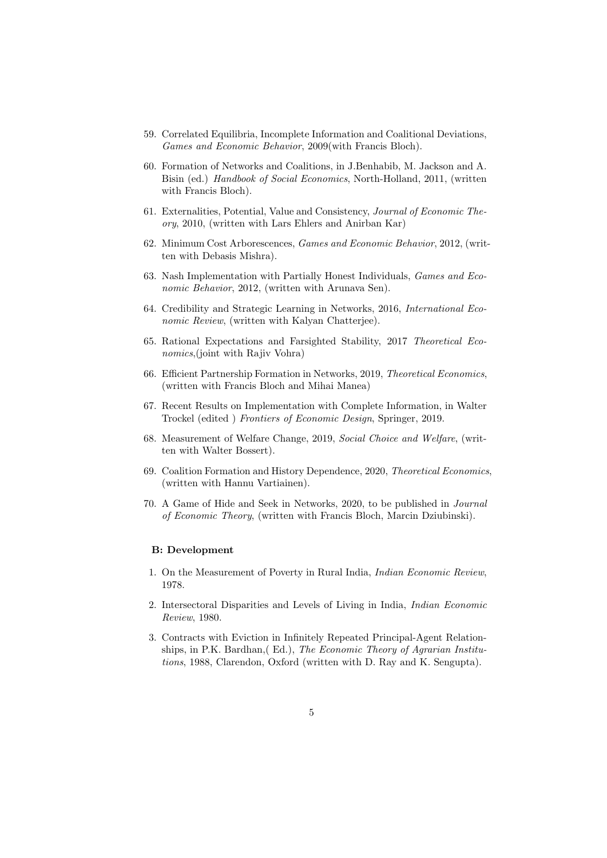- 59. Correlated Equilibria, Incomplete Information and Coalitional Deviations, Games and Economic Behavior, 2009(with Francis Bloch).
- 60. Formation of Networks and Coalitions, in J.Benhabib, M. Jackson and A. Bisin (ed.) Handbook of Social Economics, North-Holland, 2011, (written with Francis Bloch).
- 61. Externalities, Potential, Value and Consistency, Journal of Economic Theory, 2010, (written with Lars Ehlers and Anirban Kar)
- 62. Minimum Cost Arborescences, Games and Economic Behavior, 2012, (written with Debasis Mishra).
- 63. Nash Implementation with Partially Honest Individuals, Games and Economic Behavior, 2012, (written with Arunava Sen).
- 64. Credibility and Strategic Learning in Networks, 2016, International Economic Review, (written with Kalyan Chatterjee).
- 65. Rational Expectations and Farsighted Stability, 2017 Theoretical Economics,(joint with Rajiv Vohra)
- 66. Efficient Partnership Formation in Networks, 2019, Theoretical Economics, (written with Francis Bloch and Mihai Manea)
- 67. Recent Results on Implementation with Complete Information, in Walter Trockel (edited ) Frontiers of Economic Design, Springer, 2019.
- 68. Measurement of Welfare Change, 2019, Social Choice and Welfare, (written with Walter Bossert).
- 69. Coalition Formation and History Dependence, 2020, Theoretical Economics, (written with Hannu Vartiainen).
- 70. A Game of Hide and Seek in Networks, 2020, to be published in Journal of Economic Theory, (written with Francis Bloch, Marcin Dziubinski).

## B: Development

- 1. On the Measurement of Poverty in Rural India, Indian Economic Review, 1978.
- 2. Intersectoral Disparities and Levels of Living in India, Indian Economic Review, 1980.
- 3. Contracts with Eviction in Infinitely Repeated Principal-Agent Relationships, in P.K. Bardhan,( Ed.), The Economic Theory of Agrarian Institutions, 1988, Clarendon, Oxford (written with D. Ray and K. Sengupta).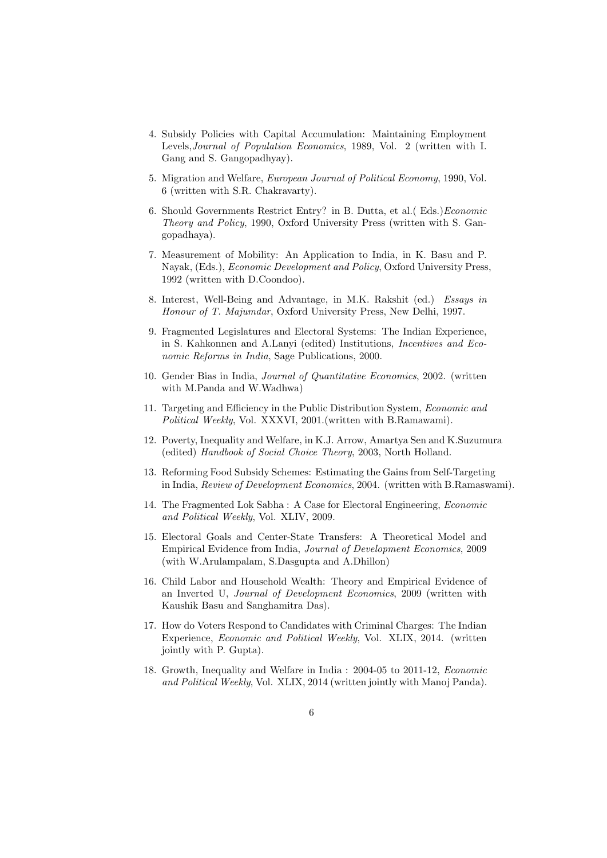- 4. Subsidy Policies with Capital Accumulation: Maintaining Employment Levels,Journal of Population Economics, 1989, Vol. 2 (written with I. Gang and S. Gangopadhyay).
- 5. Migration and Welfare, European Journal of Political Economy, 1990, Vol. 6 (written with S.R. Chakravarty).
- 6. Should Governments Restrict Entry? in B. Dutta, et al.( Eds.)Economic Theory and Policy, 1990, Oxford University Press (written with S. Gangopadhaya).
- 7. Measurement of Mobility: An Application to India, in K. Basu and P. Nayak, (Eds.), Economic Development and Policy, Oxford University Press, 1992 (written with D.Coondoo).
- 8. Interest, Well-Being and Advantage, in M.K. Rakshit (ed.) Essays in Honour of T. Majumdar, Oxford University Press, New Delhi, 1997.
- 9. Fragmented Legislatures and Electoral Systems: The Indian Experience, in S. Kahkonnen and A.Lanyi (edited) Institutions, Incentives and Economic Reforms in India, Sage Publications, 2000.
- 10. Gender Bias in India, Journal of Quantitative Economics, 2002. (written with M.Panda and W.Wadhwa)
- 11. Targeting and Efficiency in the Public Distribution System, Economic and Political Weekly, Vol. XXXVI, 2001.(written with B.Ramawami).
- 12. Poverty, Inequality and Welfare, in K.J. Arrow, Amartya Sen and K.Suzumura (edited) Handbook of Social Choice Theory, 2003, North Holland.
- 13. Reforming Food Subsidy Schemes: Estimating the Gains from Self-Targeting in India, Review of Development Economics, 2004. (written with B.Ramaswami).
- 14. The Fragmented Lok Sabha : A Case for Electoral Engineering, Economic and Political Weekly, Vol. XLIV, 2009.
- 15. Electoral Goals and Center-State Transfers: A Theoretical Model and Empirical Evidence from India, Journal of Development Economics, 2009 (with W.Arulampalam, S.Dasgupta and A.Dhillon)
- 16. Child Labor and Household Wealth: Theory and Empirical Evidence of an Inverted U, Journal of Development Economics, 2009 (written with Kaushik Basu and Sanghamitra Das).
- 17. How do Voters Respond to Candidates with Criminal Charges: The Indian Experience, Economic and Political Weekly, Vol. XLIX, 2014. (written jointly with P. Gupta).
- 18. Growth, Inequality and Welfare in India : 2004-05 to 2011-12, Economic and Political Weekly, Vol. XLIX, 2014 (written jointly with Manoj Panda).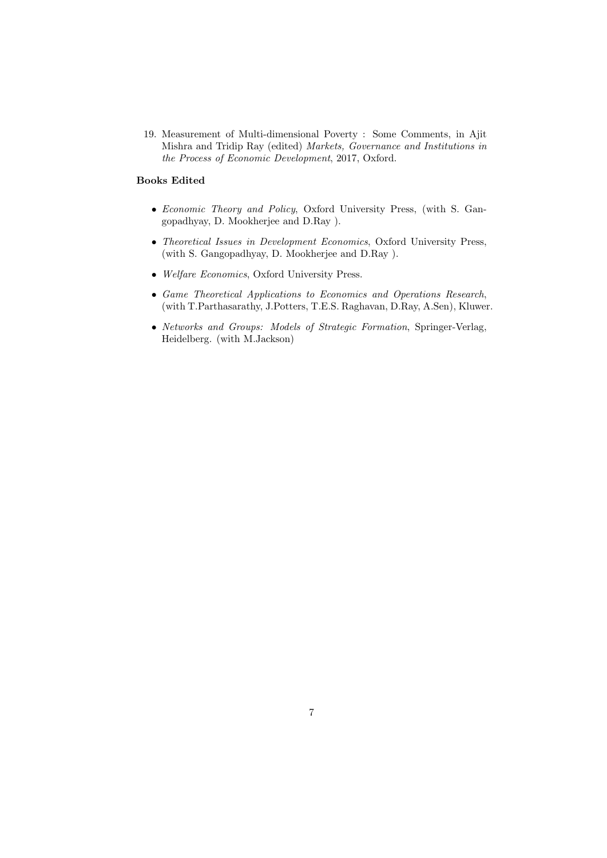19. Measurement of Multi-dimensional Poverty : Some Comments, in Ajit Mishra and Tridip Ray (edited) Markets, Governance and Institutions in the Process of Economic Development, 2017, Oxford.

# Books Edited

- Economic Theory and Policy, Oxford University Press, (with S. Gangopadhyay, D. Mookherjee and D.Ray ).
- Theoretical Issues in Development Economics, Oxford University Press, (with S. Gangopadhyay, D. Mookherjee and D.Ray ).
- Welfare Economics, Oxford University Press.
- Game Theoretical Applications to Economics and Operations Research, (with T.Parthasarathy, J.Potters, T.E.S. Raghavan, D.Ray, A.Sen), Kluwer.
- Networks and Groups: Models of Strategic Formation, Springer-Verlag, Heidelberg. (with M.Jackson)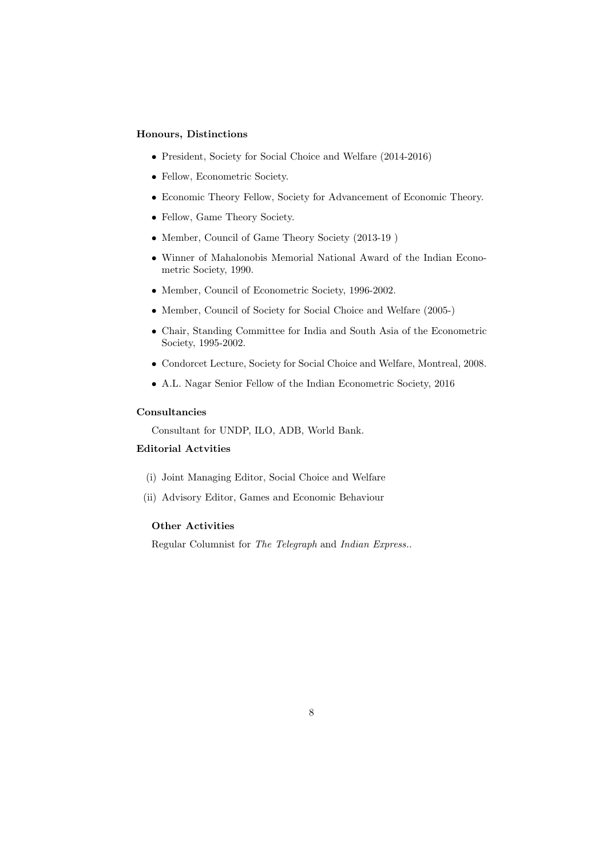#### Honours, Distinctions

- President, Society for Social Choice and Welfare (2014-2016)
- Fellow, Econometric Society.
- Economic Theory Fellow, Society for Advancement of Economic Theory.
- Fellow, Game Theory Society.
- Member, Council of Game Theory Society (2013-19 )
- Winner of Mahalonobis Memorial National Award of the Indian Econometric Society, 1990.
- Member, Council of Econometric Society, 1996-2002.
- Member, Council of Society for Social Choice and Welfare (2005-)
- Chair, Standing Committee for India and South Asia of the Econometric Society, 1995-2002.
- Condorcet Lecture, Society for Social Choice and Welfare, Montreal, 2008.
- A.L. Nagar Senior Fellow of the Indian Econometric Society, 2016

# Consultancies

Consultant for UNDP, ILO, ADB, World Bank.

# Editorial Actvities

- (i) Joint Managing Editor, Social Choice and Welfare
- (ii) Advisory Editor, Games and Economic Behaviour

# Other Activities

Regular Columnist for The Telegraph and Indian Express..